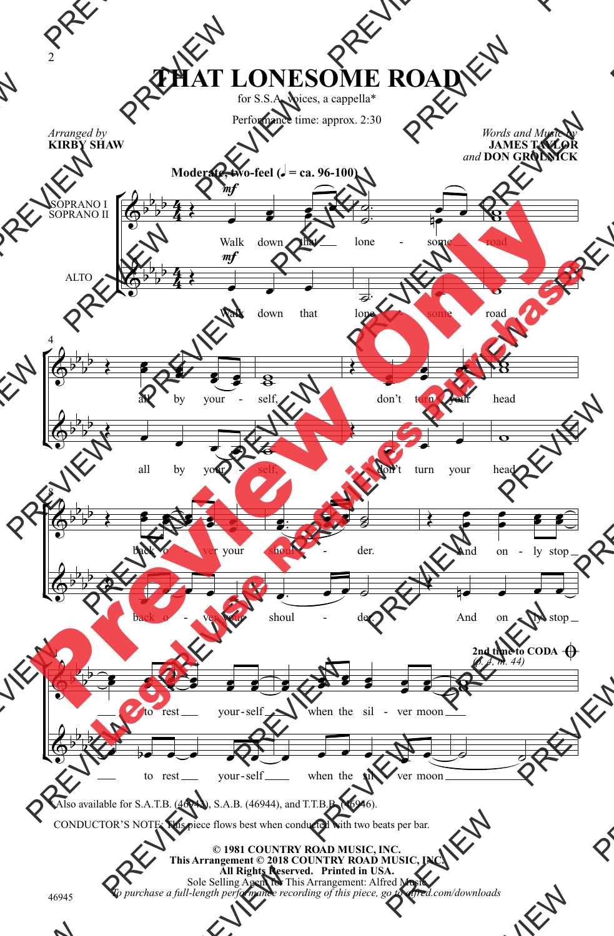## **THAT LONESOME ROAD**

for S.S.A. voices, a cappella\*

Performance time: approx. 2:30

*Words and Music by* **JAMES TAYLOR**

*Arranged by* **KIRBY SHAW**



\* Also available for S.A.T.B. (46943), S.A.B. (46944), and T.T.B.B. (46946).

CONDUCTOR'S NOTE: This piece flows best when conducted with two beats per bar.

**© 1981 COUNTRY ROAD MUSIC, INC. This Arrangement © 2018 COUNTRY ROAD MUSIC, INC. All Rights Reserved. Printed in USA.** Sole Selling Agent for This Arrangement: Alfred Music *To purchase a full-length performance recording of this piece, go to alfred.com/downloads*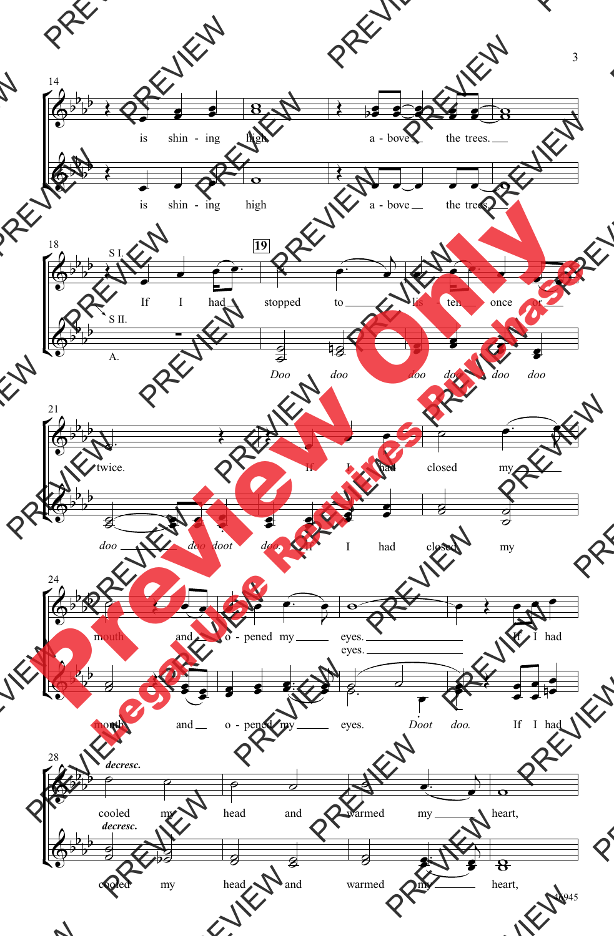